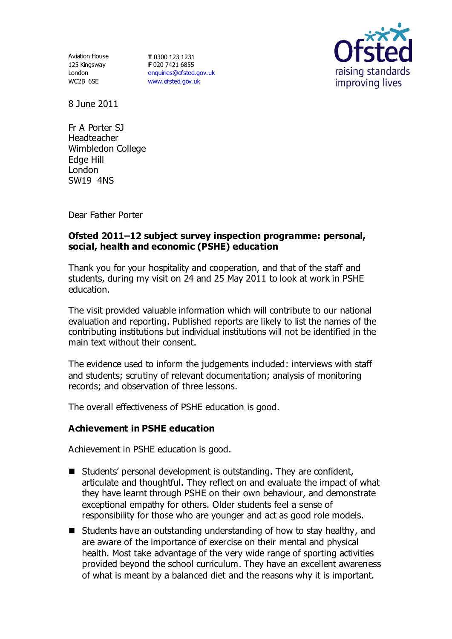Aviation House 125 Kingsway London WC2B 6SE

**T** 0300 123 1231 **F** 020 7421 6855 [enquiries@ofsted.gov.uk](mailto:enquiries@ofsted.gov.uk) [www.ofsted.gov.uk](http://www.ofsted.gov.uk/)



8 June 2011

Fr A Porter SJ Headteacher Wimbledon College Edge Hill London SW19 4NS

Dear Father Porter

## **Ofsted 2011–12 subject survey inspection programme: personal, social, health and economic (PSHE) education**

Thank you for your hospitality and cooperation, and that of the staff and students, during my visit on 24 and 25 May 2011 to look at work in PSHE education.

The visit provided valuable information which will contribute to our national evaluation and reporting. Published reports are likely to list the names of the contributing institutions but individual institutions will not be identified in the main text without their consent.

The evidence used to inform the judgements included: interviews with staff and students; scrutiny of relevant documentation; analysis of monitoring records; and observation of three lessons.

The overall effectiveness of PSHE education is good.

## **Achievement in PSHE education**

Achievement in PSHE education is good.

- Students' personal development is outstanding. They are confident, articulate and thoughtful. They reflect on and evaluate the impact of what they have learnt through PSHE on their own behaviour, and demonstrate exceptional empathy for others. Older students feel a sense of responsibility for those who are younger and act as good role models.
- $\blacksquare$  Students have an outstanding understanding of how to stay healthy, and are aware of the importance of exercise on their mental and physical health. Most take advantage of the very wide range of sporting activities provided beyond the school curriculum. They have an excellent awareness of what is meant by a balanced diet and the reasons why it is important.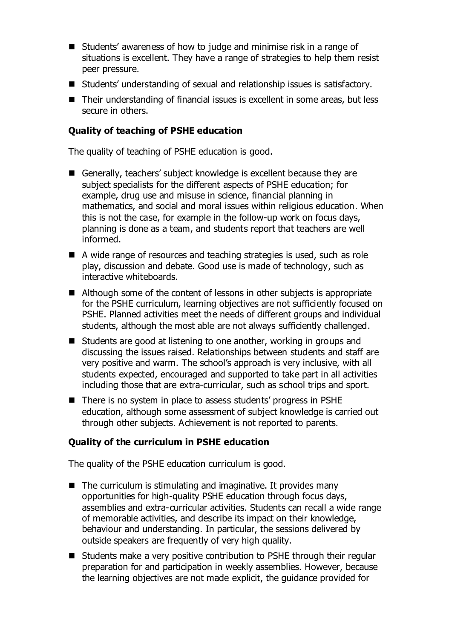- Students' awareness of how to judge and minimise risk in a range of situations is excellent. They have a range of strategies to help them resist peer pressure.
- Students' understanding of sexual and relationship issues is satisfactory.
- Their understanding of financial issues is excellent in some areas, but less secure in others.

# **Quality of teaching of PSHE education**

The quality of teaching of PSHE education is good.

- Generally, teachers' subject knowledge is excellent because they are subject specialists for the different aspects of PSHE education; for example, drug use and misuse in science, financial planning in mathematics, and social and moral issues within religious education. When this is not the case, for example in the follow-up work on focus days, planning is done as a team, and students report that teachers are well informed.
- A wide range of resources and teaching strategies is used, such as role play, discussion and debate. Good use is made of technology, such as interactive whiteboards.
- Although some of the content of lessons in other subjects is appropriate for the PSHE curriculum, learning objectives are not sufficiently focused on PSHE. Planned activities meet the needs of different groups and individual students, although the most able are not always sufficiently challenged.
- Students are good at listening to one another, working in groups and discussing the issues raised. Relationships between students and staff are very positive and warm. The school's approach is very inclusive, with all students expected, encouraged and supported to take part in all activities including those that are extra-curricular, such as school trips and sport.
- There is no system in place to assess students' progress in PSHE education, although some assessment of subject knowledge is carried out through other subjects. Achievement is not reported to parents.

## **Quality of the curriculum in PSHE education**

The quality of the PSHE education curriculum is good.

- $\blacksquare$  The curriculum is stimulating and imaginative. It provides many opportunities for high-quality PSHE education through focus days, assemblies and extra-curricular activities. Students can recall a wide range of memorable activities, and describe its impact on their knowledge, behaviour and understanding. In particular, the sessions delivered by outside speakers are frequently of very high quality.
- Students make a very positive contribution to PSHE through their regular preparation for and participation in weekly assemblies. However, because the learning objectives are not made explicit, the guidance provided for